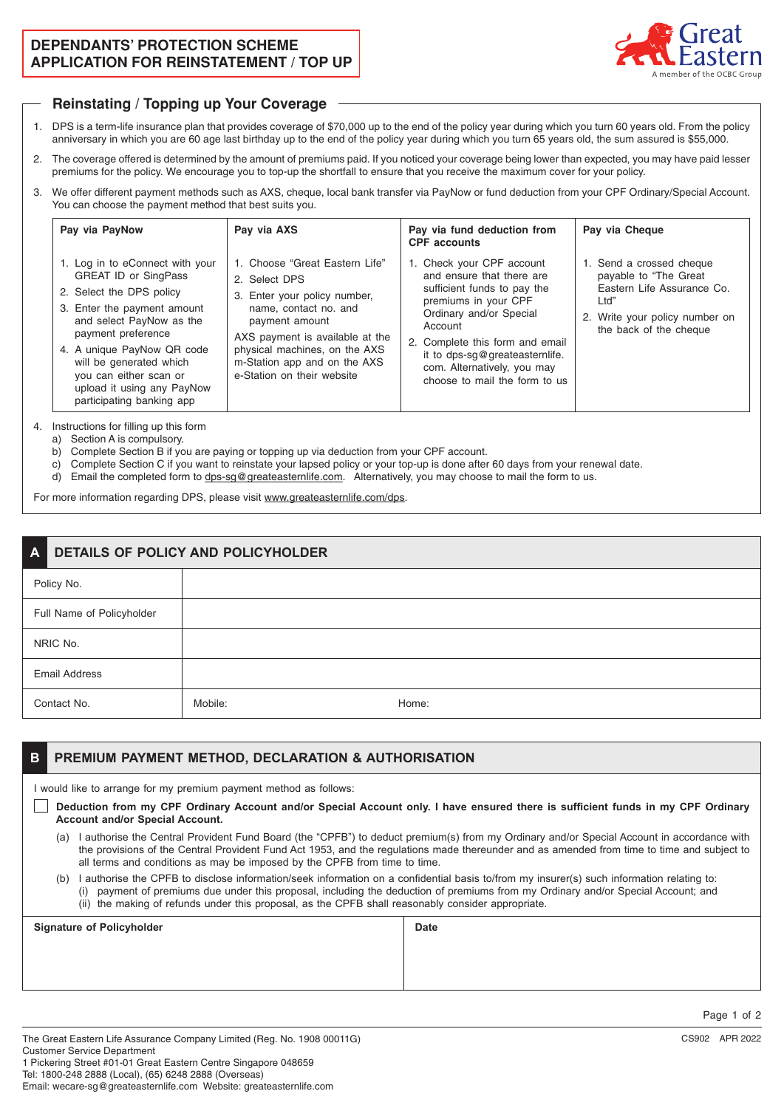## **DEPENDANTS' PROTECTION SCHEME APPLICATION FOR REINSTATEMENT / TOP UP**



#### **Reinstating / Topping up Your Coverage**

- 1. DPS is a term-life insurance plan that provides coverage of \$70,000 up to the end of the policy year during which you turn 60 years old. From the policy anniversary in which you are 60 age last birthday up to the end of the policy year during which you turn 65 years old, the sum assured is \$55,000.
- 2. The coverage offered is determined by the amount of premiums paid. If you noticed your coverage being lower than expected, you may have paid lesser premiums for the policy. We encourage you to top-up the shortfall to ensure that you receive the maximum cover for your policy.
- 3. We offer different payment methods such as AXS, cheque, local bank transfer via PayNow or fund deduction from your CPF Ordinary/Special Account. You can choose the payment method that best suits you.

| Pay via PayNow                                                                                                                                                                                                                                                                                                            | Pay via AXS                                                                                                                                                                                                                                                  | Pay via fund deduction from<br><b>CPF</b> accounts                                                                                                                                                                                                                                       | Pay via Cheque                                                                                                                                       |
|---------------------------------------------------------------------------------------------------------------------------------------------------------------------------------------------------------------------------------------------------------------------------------------------------------------------------|--------------------------------------------------------------------------------------------------------------------------------------------------------------------------------------------------------------------------------------------------------------|------------------------------------------------------------------------------------------------------------------------------------------------------------------------------------------------------------------------------------------------------------------------------------------|------------------------------------------------------------------------------------------------------------------------------------------------------|
| 1. Log in to eConnect with your<br><b>GREAT ID or SingPass</b><br>2. Select the DPS policy<br>3. Enter the payment amount<br>and select PayNow as the<br>payment preference<br>4. A unique PayNow QR code<br>will be generated which<br>you can either scan or<br>upload it using any PayNow<br>participating banking app | 1. Choose "Great Eastern Life"<br>2. Select DPS<br>3. Enter your policy number,<br>name, contact no, and<br>payment amount<br>AXS payment is available at the<br>physical machines, on the AXS<br>m-Station app and on the AXS<br>e-Station on their website | 1. Check your CPF account<br>and ensure that there are<br>sufficient funds to pay the<br>premiums in your CPF<br>Ordinary and/or Special<br>Account<br>2. Complete this form and email<br>it to dps-sg@greateasternlife.<br>com. Alternatively, you may<br>choose to mail the form to us | 1. Send a crossed cheque<br>payable to "The Great"<br>Eastern Life Assurance Co.<br>Ltd"<br>2. Write your policy number on<br>the back of the cheque |

4. Instructions for filling up this form

a) Section A is compulsory.

- b) Complete Section B if you are paying or topping up via deduction from your CPF account.
- c) Complete Section C if you want to reinstate your lapsed policy or your top-up is done after 60 days from your renewal date.
- d) Email the completed form to dps-sg@greateasternlife.com. Alternatively, you may choose to mail the form to us.

For more information regarding DPS, please visit www.greateasternlife.com/dps.

| DETAILS OF POLICY AND POLICYHOLDER<br>$\mathbf{A}$ |         |       |
|----------------------------------------------------|---------|-------|
| Policy No.                                         |         |       |
| Full Name of Policyholder                          |         |       |
| NRIC No.                                           |         |       |
| <b>Email Address</b>                               |         |       |
| Contact No.                                        | Mobile: | Home: |

#### **B PREMIUM PAYMENT METHOD, DECLARATION & AUTHORISATION**

I would like to arrange for my premium payment method as follows:

- **Deduction from my CPF Ordinary Account and/or Special Account only. I have ensured there is sufficient funds in my CPF Ordinary Account and/or Special Account.**
	- (a) I authorise the Central Provident Fund Board (the "CPFB") to deduct premium(s) from my Ordinary and/or Special Account in accordance with the provisions of the Central Provident Fund Act 1953, and the regulations made thereunder and as amended from time to time and subject to all terms and conditions as may be imposed by the CPFB from time to time.
	- (b) I authorise the CPFB to disclose information/seek information on a confidential basis to/from my insurer(s) such information relating to: (i) payment of premiums due under this proposal, including the deduction of premiums from my Ordinary and/or Special Account; and (ii) the making of refunds under this proposal, as the CPFB shall reasonably consider appropriate.

| <b>Signature of Policyholder</b> | <b>Date</b> |
|----------------------------------|-------------|
|                                  |             |
|                                  |             |